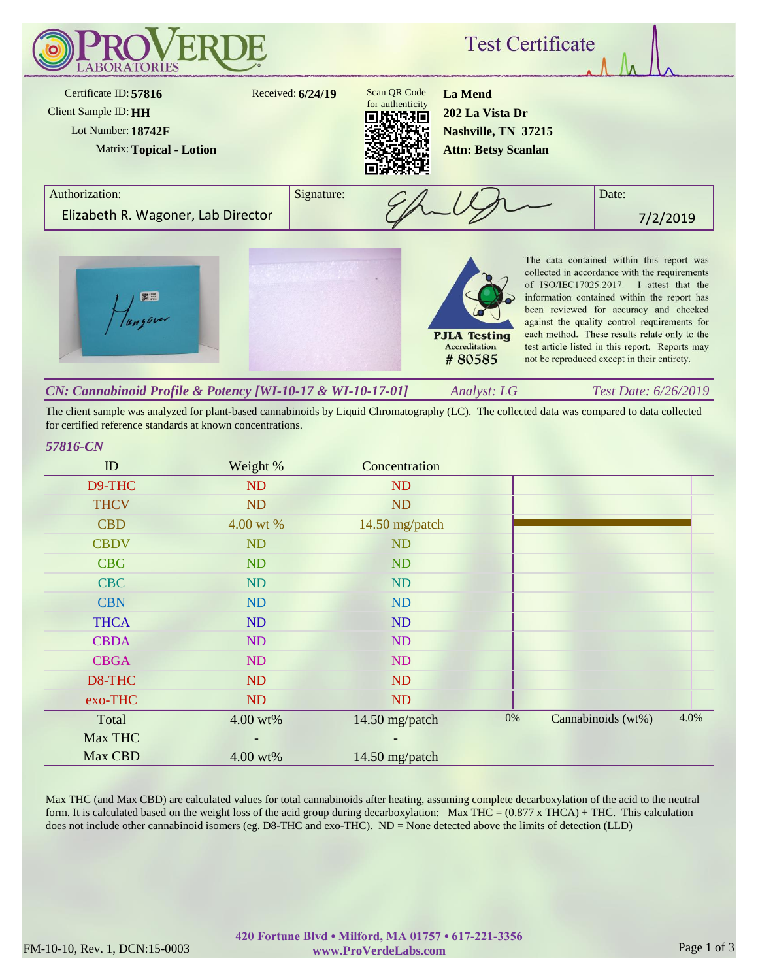

The client sample was analyzed for plant-based cannabinoids by Liquid Chromatography (LC). The collected data was compared to data collected for certified reference standards at known concentrations.

### *57816-CN*

| ID          | Weight %                 | Concentration  |       |                    |      |
|-------------|--------------------------|----------------|-------|--------------------|------|
| D9-THC      | ND                       | N <sub>D</sub> |       |                    |      |
| <b>THCV</b> | <b>ND</b>                | <b>ND</b>      |       |                    |      |
| <b>CBD</b>  | 4.00 wt %                | 14.50 mg/patch |       |                    |      |
| <b>CBDV</b> | <b>ND</b>                | <b>ND</b>      |       |                    |      |
| <b>CBG</b>  | <b>ND</b>                | <b>ND</b>      |       |                    |      |
| <b>CBC</b>  | <b>ND</b>                | <b>ND</b>      |       |                    |      |
| <b>CBN</b>  | ND                       | ND             |       |                    |      |
| <b>THCA</b> | ND                       | ND             |       |                    |      |
| <b>CBDA</b> | ND                       | ND             |       |                    |      |
| <b>CBGA</b> | ND                       | <b>ND</b>      |       |                    |      |
| D8-THC      | ND                       | <b>ND</b>      |       |                    |      |
| exo-THC     | ND                       | ND             |       |                    |      |
| Total       | 4.00 wt%                 | 14.50 mg/patch | $0\%$ | Cannabinoids (wt%) | 4.0% |
| Max THC     | $\overline{\phantom{a}}$ |                |       |                    |      |
| Max CBD     | 4.00 wt%                 | 14.50 mg/patch |       |                    |      |

Max THC (and Max CBD) are calculated values for total cannabinoids after heating, assuming complete decarboxylation of the acid to the neutral form. It is calculated based on the weight loss of the acid group during decarboxylation: Max THC =  $(0.877 \times THCA) + THC$ . This calculation does not include other cannabinoid isomers (eg. D8-THC and exo-THC). ND = None detected above the limits of detection (LLD)

#### FM-10-10, Rev. 1, DCN:15-0003 www.ProVerdeLabs.com Page 1 of 3 **420 Fortune Blvd • Milford, MA 01757 • 617-221-3356 www.ProVerdeLabs.com**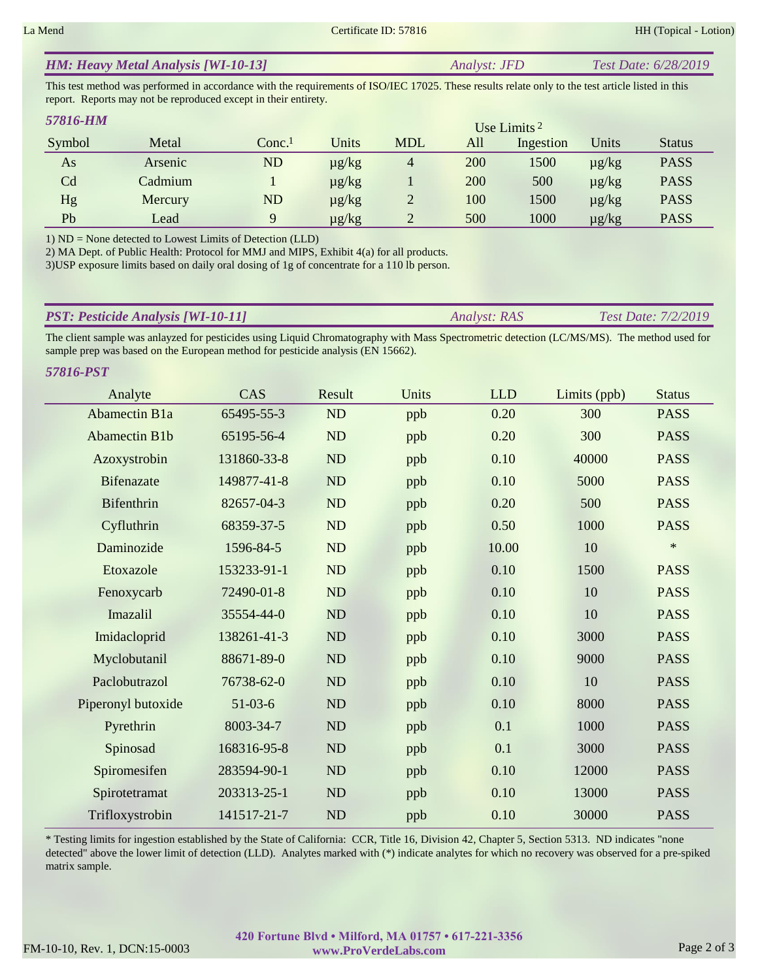*57816-PST*

#### *Analyst: JFD Test Date: 6/28/2019 HM: Heavy Metal Analysis [WI-10-13]*

This test method was performed in accordance with the requirements of ISO/IEC 17025. These results relate only to the test article listed in this report. Reports may not be reproduced except in their entirety.

| 57816-HM |         |                   |            |                |     | Use Limits $2$ |            |               |
|----------|---------|-------------------|------------|----------------|-----|----------------|------------|---------------|
| Symbol   | Metal   | Conc <sup>1</sup> | Units      | <b>MDL</b>     | All | Ingestion      | Units      | <b>Status</b> |
| As       | Arsenic | <b>ND</b>         | $\mu$ g/kg | $\overline{4}$ | 200 | 1500           | $\mu$ g/kg | <b>PASS</b>   |
| Cd       | Cadmium |                   | $\mu$ g/kg |                | 200 | 500            | $\mu$ g/kg | <b>PASS</b>   |
| Hg       | Mercury | ND                | $\mu$ g/kg |                | 100 | 1500           | $\mu$ g/kg | <b>PASS</b>   |
| Pb       | Lead    | Q                 | $\mu$ g/kg |                | 500 | 1000           | $\mu$ g/kg | <b>PASS</b>   |

1) ND = None detected to Lowest Limits of Detection (LLD)

2) MA Dept. of Public Health: Protocol for MMJ and MIPS, Exhibit 4(a) for all products.

3)USP exposure limits based on daily oral dosing of 1g of concentrate for a 110 lb person.

| <b>PST: Pesticide Analysis [WI-10-11]</b> | Analyst: RAS | <b>Test Date: 7/2/2019</b> |
|-------------------------------------------|--------------|----------------------------|
|                                           |              |                            |

The client sample was anlayzed for pesticides using Liquid Chromatography with Mass Spectrometric detection (LC/MS/MS). The method used for sample prep was based on the European method for pesticide analysis (EN 15662).

| 710-L91              |             |           |       |            |              |               |
|----------------------|-------------|-----------|-------|------------|--------------|---------------|
| Analyte              | CAS         | Result    | Units | <b>LLD</b> | Limits (ppb) | <b>Status</b> |
| <b>Abamectin B1a</b> | 65495-55-3  | ND        | ppb   | 0.20       | 300          | <b>PASS</b>   |
| <b>Abamectin B1b</b> | 65195-56-4  | ND        | ppb   | 0.20       | 300          | <b>PASS</b>   |
| Azoxystrobin         | 131860-33-8 | <b>ND</b> | ppb   | 0.10       | 40000        | <b>PASS</b>   |
| <b>Bifenazate</b>    | 149877-41-8 | ND        | ppb   | 0.10       | 5000         | <b>PASS</b>   |
| Bifenthrin           | 82657-04-3  | ND        | ppb   | 0.20       | 500          | <b>PASS</b>   |
| Cyfluthrin           | 68359-37-5  | ND        | ppb   | 0.50       | 1000         | <b>PASS</b>   |
| Daminozide           | 1596-84-5   | ND        | ppb   | 10.00      | 10           | $\ast$        |
| Etoxazole            | 153233-91-1 | ND        | ppb   | 0.10       | 1500         | <b>PASS</b>   |
| Fenoxycarb           | 72490-01-8  | ND        | ppb   | 0.10       | 10           | <b>PASS</b>   |
| Imazalil             | 35554-44-0  | ND        | ppb   | 0.10       | 10           | <b>PASS</b>   |
| Imidacloprid         | 138261-41-3 | ND        | ppb   | 0.10       | 3000         | <b>PASS</b>   |
| Myclobutanil         | 88671-89-0  | ND        | ppb   | 0.10       | 9000         | <b>PASS</b>   |
| Paclobutrazol        | 76738-62-0  | ND        | ppb   | 0.10       | 10           | <b>PASS</b>   |
| Piperonyl butoxide   | $51-03-6$   | ND        | ppb   | 0.10       | 8000         | <b>PASS</b>   |
| Pyrethrin            | 8003-34-7   | ND        | ppb   | 0.1        | 1000         | <b>PASS</b>   |
| Spinosad             | 168316-95-8 | <b>ND</b> | ppb   | 0.1        | 3000         | <b>PASS</b>   |
| Spiromesifen         | 283594-90-1 | ND        | ppb   | 0.10       | 12000        | <b>PASS</b>   |
| Spirotetramat        | 203313-25-1 | ND        | ppb   | 0.10       | 13000        | <b>PASS</b>   |
| Trifloxystrobin      | 141517-21-7 | ND        | ppb   | 0.10       | 30000        | <b>PASS</b>   |

\* Testing limits for ingestion established by the State of California: CCR, Title 16, Division 42, Chapter 5, Section 5313. ND indicates "none detected" above the lower limit of detection (LLD). Analytes marked with (\*) indicate analytes for which no recovery was observed for a pre-spiked matrix sample.